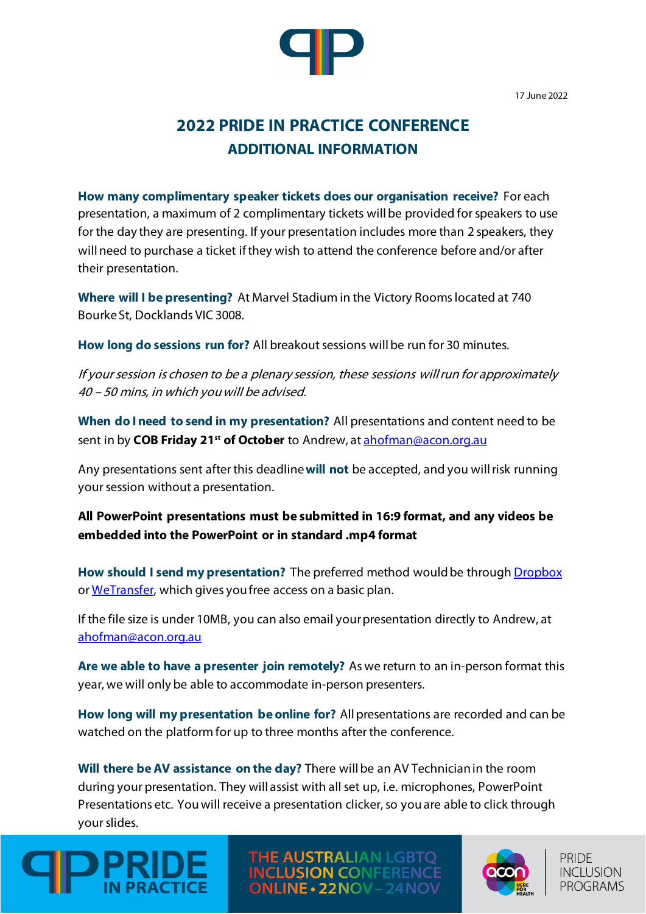17 June 2022



## **2022 PRIDE IN PRACTICE CONFERENCE ADDITIONAL INFORMATION**

**How many complimentary speaker tickets does our organisation receive?** For each presentation, a maximum of 2 complimentary tickets will be provided for speakers to use for the day they are presenting. If your presentation includes more than 2 speakers, they will need to purchase a ticket if they wish to attend the conference before and/or after their presentation.

**Where will I be presenting?** At Marvel Stadium in the Victory Rooms located at 740 Bourke St, Docklands VIC 3008.

**How long do sessions run for?** All breakout sessions will be run for 30 minutes.

If your session is chosen to be a plenary session, these sessions will run for approximately 40 – 50 mins, in which you will be advised.

**When do I need to send in my presentation?** All presentations and content need to be sent in by **COB Friday 21<sup>st</sup> of October** to Andrew, at **ahofman@acon.org.au** 

Any presentations sent after this deadline **will not** be accepted, and you will risk running your session without a presentation.

**All PowerPoint presentations must be submitted in 16:9 format, and any videos be embedded into the PowerPoint or in standard .mp4 format**

**How should I send my presentation?** The preferred method would be through [Dropbox](https://www.dropbox.com/) or [WeTransfer,](https://wetransfer.com/) which gives you free access on a basic plan.

If the file size is under 10MB, you can also email your presentation directly to Andrew, at [ahofman@acon.org.au](mailto:ahofman@acon.org.au)

**Are we able to have a presenter join remotely?** As we return to an in-person format this year, we will only be able to accommodate in-person presenters.

**How long will my presentation be online for?** All presentations are recorded and can be watched on the platform for up to three months after the conference.

**Will there be AV assistance on the day?** There will be an AV Technician in the room during your presentation. They will assist with all set up, i.e. microphones, PowerPoint Presentations etc. You will receive a presentation clicker, so you are able to click through your slides.



THE AUSTRALIAN LGBTQ **CLUSION CONFEREN NLINE • 22NOV – 24NOV**